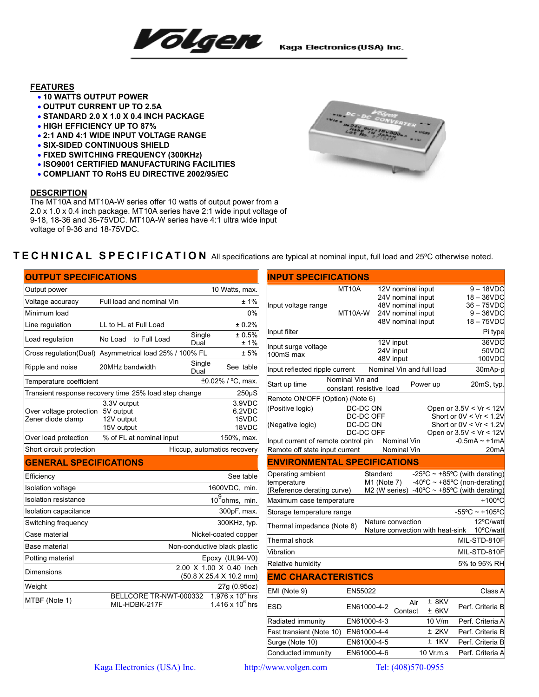

## **FEATURES**

- **10 WATTS OUTPUT POWER**
- **OUTPUT CURRENT UP TO 2.5A**
- **STANDARD 2.0 X 1.0 X 0.4 INCH PACKAGE**
- **HIGH EFFICIENCY UP TO 87%**
- **2:1 AND 4:1 WIDE INPUT VOLTAGE RANGE**
- **SIX-SIDED CONTINUOUS SHIELD**
- **FIXED SWITCHING FREQUENCY (300KHz)**
- **ISO9001 CERTIFIED MANUFACTURING FACILITIES**
- **COMPLIANT TO RoHS EU DIRECTIVE 2002/95/EC**

## **DESCRIPTION**

The MT10A and MT10A-W series offer 10 watts of output power from a 2.0 x 1.0 x 0.4 inch package. MT10A series have 2:1 wide input voltage of 9-18, 18-36 and 36-75VDC. MT10A-W series have 4:1 ultra wide input voltage of 9-36 and 18-75VDC.



## **TECHNICAL SPECIFICATION** All specifications are typical at nominal input, full load and 25ºC otherwise noted.

| <b>OUTPUT SPECIFICATIONS</b>                                            |                                                        |        |                                             | <b>INPUT SPECIFICATIONS</b>                                     |                 |                                   |                                        |                                                               |        |                                                                                     |
|-------------------------------------------------------------------------|--------------------------------------------------------|--------|---------------------------------------------|-----------------------------------------------------------------|-----------------|-----------------------------------|----------------------------------------|---------------------------------------------------------------|--------|-------------------------------------------------------------------------------------|
| Output power                                                            |                                                        |        | 10 Watts, max.                              |                                                                 | MT10A           |                                   | 12V nominal input                      |                                                               |        | $9 - 18$ VDC                                                                        |
| Voltage accuracy                                                        | Full load and nominal Vin                              |        | ±1%                                         | Input voltage range                                             |                 |                                   | 24V nominal input<br>48V nominal input |                                                               |        | $18 - 36$ VDC<br>$36 - 75$ VDC                                                      |
| Minimum load                                                            |                                                        |        | 0%                                          |                                                                 | MT10A-W         |                                   | 24V nominal input                      |                                                               |        | $9 - 36$ VDC                                                                        |
| Line regulation                                                         | LL to HL at Full Load                                  |        | ± 0.2%                                      |                                                                 |                 |                                   | 48V nominal input                      |                                                               |        | $18 - 75$ VDC                                                                       |
| Load regulation                                                         | No Load to Full Load                                   | Single | ± 0.5%                                      | Input filter                                                    |                 |                                   |                                        |                                                               |        | Pi type                                                                             |
|                                                                         |                                                        | Dual   | ±1%                                         | Input surge voltage                                             |                 |                                   | 12V input<br>24V input                 |                                                               |        | 36VDC<br>50VDC                                                                      |
|                                                                         | Cross regulation(Dual) Asymmetrical load 25% / 100% FL | Single | ± 5%                                        | 100mS max                                                       |                 |                                   | 48V input                              |                                                               | 100VDC |                                                                                     |
| Ripple and noise                                                        | 20MHz bandwidth                                        | Dual   | See table                                   | Input reflected ripple current                                  |                 |                                   | Nominal Vin and full load              |                                                               |        | 30mAp-p                                                                             |
| Temperature coefficient                                                 |                                                        |        | ±0.02% / °C, max.                           | Start up time                                                   | Nominal Vin and |                                   |                                        | Power up                                                      |        | 20mS, typ.                                                                          |
| Transient response recovery time 25% load step change<br>$250\mu S$     |                                                        |        |                                             | constant resistive load<br>Remote ON/OFF (Option) (Note 6)      |                 |                                   |                                        |                                                               |        |                                                                                     |
| Over voltage protection 5V output<br>Zener diode clamp                  | 3.3V output<br>12V output<br>15V output                |        | 3.9VDC<br>6.2VDC<br>15VDC<br>18VDC          | (Positive logic)<br>(Negative logic)                            |                 | DC-DC ON<br>DC-DC OFF<br>DC-DC ON |                                        |                                                               |        | Open or $3.5V < Vr < 12V$<br>Short or $0V < Vr < 1.2V$<br>Short or $0V < Vr < 1.2V$ |
| Over load protection                                                    | % of FL at nominal input                               |        | 150%, max.                                  | Input current of remote control pin                             |                 | DC-DC OFF                         | Nominal Vin                            |                                                               |        | Open or 3.5V < Vr < 12V<br>$-0.5mA - +1mA$                                          |
| Short circuit protection                                                |                                                        |        | Hiccup, automatics recovery                 | Remote off state input current                                  |                 |                                   | Nominal Vin                            |                                                               |        | 20 <sub>m</sub> A                                                                   |
| <b>GENERAL SPECIFICATIONS</b>                                           |                                                        |        |                                             | <b>ENVIRONMENTAL SPECIFICATIONS</b>                             |                 |                                   |                                        |                                                               |        |                                                                                     |
| Efficiency                                                              |                                                        |        | See table                                   | Operating ambient                                               |                 | Standard                          |                                        | -25°C $\sim$ +85°C (with derating)                            |        |                                                                                     |
| Isolation voltage                                                       |                                                        |        | 1600VDC, min.                               | temperature<br>(Reference derating curve)                       |                 | $M1$ (Note 7)<br>M2 (W series)    |                                        | -40°C ~ +85°C (non-derating)<br>-40°C ~ +85°C (with derating) |        |                                                                                     |
| <b>Isolation resistance</b>                                             |                                                        |        | 10 <sup>9</sup> ohms, min.                  | Maximum case temperature                                        |                 |                                   |                                        |                                                               |        | $+100^{\circ}$ C                                                                    |
| Isolation capacitance                                                   |                                                        |        | 300pF, max.                                 | Storage temperature range                                       |                 |                                   |                                        |                                                               |        | $-55^{\circ}$ C ~ +105°C                                                            |
| Switching frequency                                                     |                                                        |        | 300KHz, typ.                                | Thermal impedance (Note 8)                                      |                 |                                   | Nature convection                      |                                                               |        | 12°C/watt                                                                           |
| Case material                                                           |                                                        |        | Nickel-coated copper                        | Thermal shock                                                   |                 |                                   |                                        | Nature convection with heat-sink                              |        | 10°C/watt<br>MIL-STD-810F                                                           |
| Base material                                                           |                                                        |        | Non-conductive black plastic                | Vibration                                                       |                 |                                   |                                        |                                                               |        | MIL-STD-810F                                                                        |
| Potting material                                                        |                                                        |        | Epoxy (UL94-V0)                             |                                                                 |                 |                                   |                                        |                                                               |        |                                                                                     |
| 2.00 X 1.00 X 0.40 Inch<br><b>Dimensions</b><br>(50.8 X 25.4 X 10.2 mm) |                                                        |        |                                             | 5% to 95% RH<br>Relative humidity<br><b>EMC CHARACTERISTICS</b> |                 |                                   |                                        |                                                               |        |                                                                                     |
| Weight                                                                  |                                                        |        | 27g (0.95oz)                                | EMI (Note 9)                                                    | EN55022         |                                   |                                        |                                                               |        | Class A                                                                             |
| MTBF (Note 1)                                                           | BELLCORE TR-NWT-000332<br>MIL-HDBK-217F                |        | 1.976 x 10 $^{6}$ hrs<br>1.416 x $10^6$ hrs | <b>ESD</b>                                                      |                 | EN61000-4-2                       | Air<br>Contact                         | $±$ 8KV<br>$±$ 6KV                                            |        | Perf. Criteria B                                                                    |
|                                                                         |                                                        |        |                                             | Radiated immunity                                               |                 | EN61000-4-3                       |                                        | 10 V/m                                                        |        | Perf. Criteria A                                                                    |

Fast transient (Note 10)  $EN61000-4-4$   $\pm$  2KV Perf. Criteria B Surge (Note 10) EN61000-4-5 ± 1KV Perf. Criteria B Conducted immunity EN61000-4-6 10 Vr.m.s Perf. Criteria A